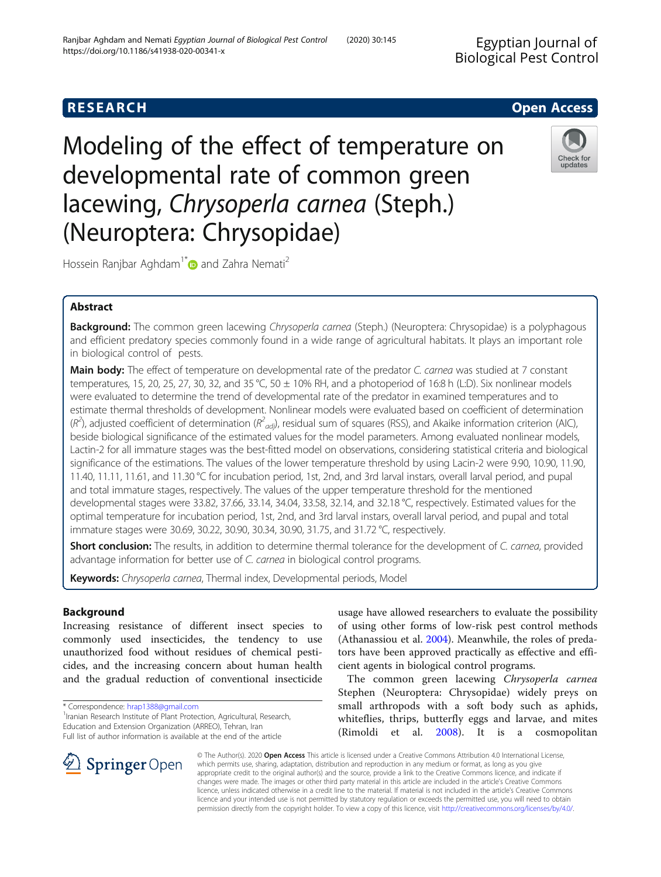# **RESEARCH CHE Open Access**

Modeling of the effect of temperature on developmental rate of common green lacewing, Chrysoperla carnea (Steph.) (Neuroptera: Chrysopidae)



Hossein Ranjbar Aghdam<sup>1[\\*](http://orcid.org/0000-0001-5603-6924)</sup> and Zahra Nemati<sup>2</sup>

# Abstract

Background: The common green lacewing Chrysoperla carnea (Steph.) (Neuroptera: Chrysopidae) is a polyphagous and efficient predatory species commonly found in a wide range of agricultural habitats. It plays an important role in biological control of pests.

Main body: The effect of temperature on developmental rate of the predator C. carnea was studied at 7 constant temperatures, 15, 20, 25, 27, 30, 32, and 35 °C, 50  $\pm$  10% RH, and a photoperiod of 16:8 h (L:D). Six nonlinear models were evaluated to determine the trend of developmental rate of the predator in examined temperatures and to estimate thermal thresholds of development. Nonlinear models were evaluated based on coefficient of determination  $(R^2)$ , adjusted coefficient of determination ( $R^2_{adj}$ ), residual sum of squares (RSS), and Akaike information criterion (AIC), beside biological significance of the estimated values for the model parameters. Among evaluated nonlinear models, Lactin-2 for all immature stages was the best-fitted model on observations, considering statistical criteria and biological significance of the estimations. The values of the lower temperature threshold by using Lacin-2 were 9.90, 10.90, 11.90, 11.40, 11.11, 11.61, and 11.30 °C for incubation period, 1st, 2nd, and 3rd larval instars, overall larval period, and pupal and total immature stages, respectively. The values of the upper temperature threshold for the mentioned developmental stages were 33.82, 37.66, 33.14, 34.04, 33.58, 32.14, and 32.18 °C, respectively. Estimated values for the optimal temperature for incubation period, 1st, 2nd, and 3rd larval instars, overall larval period, and pupal and total immature stages were 30.69, 30.22, 30.90, 30.34, 30.90, 31.75, and 31.72 °C, respectively.

Short conclusion: The results, in addition to determine thermal tolerance for the development of C. carnea, provided advantage information for better use of C. carnea in biological control programs.

Keywords: Chrysoperla carnea, Thermal index, Developmental periods, Model

# Background

Increasing resistance of different insect species to commonly used insecticides, the tendency to use unauthorized food without residues of chemical pesticides, and the increasing concern about human health and the gradual reduction of conventional insecticide

\* Correspondence: [hrap1388@gmail.com](mailto:hrap1388@gmail.com) <sup>1</sup>

<sup>1</sup> Iranian Research Institute of Plant Protection, Agricultural, Research, Education and Extension Organization (ARREO), Tehran, Iran Full list of author information is available at the end of the article

usage have allowed researchers to evaluate the possibility of using other forms of low-risk pest control methods (Athanassiou et al. [2004\)](#page-8-0). Meanwhile, the roles of predators have been approved practically as effective and efficient agents in biological control programs.

The common green lacewing Chrysoperla carnea Stephen (Neuroptera: Chrysopidae) widely preys on small arthropods with a soft body such as aphids, whiteflies, thrips, butterfly eggs and larvae, and mites (Rimoldi et al. [2008\)](#page-9-0). It is a cosmopolitan



© The Author(s). 2020 Open Access This article is licensed under a Creative Commons Attribution 4.0 International License, which permits use, sharing, adaptation, distribution and reproduction in any medium or format, as long as you give appropriate credit to the original author(s) and the source, provide a link to the Creative Commons licence, and indicate if changes were made. The images or other third party material in this article are included in the article's Creative Commons licence, unless indicated otherwise in a credit line to the material. If material is not included in the article's Creative Commons licence and your intended use is not permitted by statutory regulation or exceeds the permitted use, you will need to obtain permission directly from the copyright holder. To view a copy of this licence, visit <http://creativecommons.org/licenses/by/4.0/>.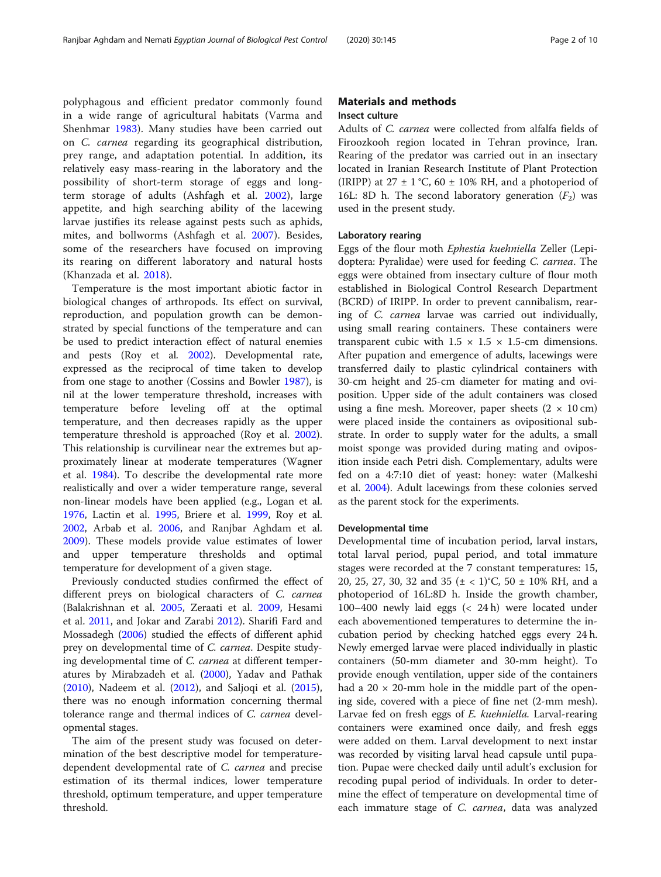polyphagous and efficient predator commonly found in a wide range of agricultural habitats (Varma and Shenhmar [1983\)](#page-9-0). Many studies have been carried out on C. carnea regarding its geographical distribution, prey range, and adaptation potential. In addition, its relatively easy mass-rearing in the laboratory and the possibility of short-term storage of eggs and longterm storage of adults (Ashfagh et al. [2002\)](#page-8-0), large appetite, and high searching ability of the lacewing larvae justifies its release against pests such as aphids, mites, and bollworms (Ashfagh et al. [2007\)](#page-8-0). Besides, some of the researchers have focused on improving its rearing on different laboratory and natural hosts (Khanzada et al. [2018\)](#page-8-0).

Temperature is the most important abiotic factor in biological changes of arthropods. Its effect on survival, reproduction, and population growth can be demonstrated by special functions of the temperature and can be used to predict interaction effect of natural enemies and pests (Roy et al. [2002](#page-9-0)). Developmental rate, expressed as the reciprocal of time taken to develop from one stage to another (Cossins and Bowler [1987\)](#page-8-0), is nil at the lower temperature threshold, increases with temperature before leveling off at the optimal temperature, and then decreases rapidly as the upper temperature threshold is approached (Roy et al. [2002](#page-9-0)). This relationship is curvilinear near the extremes but approximately linear at moderate temperatures (Wagner et al. [1984](#page-9-0)). To describe the developmental rate more realistically and over a wider temperature range, several non-linear models have been applied (e.g., Logan et al. [1976](#page-8-0), Lactin et al. [1995](#page-8-0), Briere et al. [1999,](#page-8-0) Roy et al. [2002](#page-9-0), Arbab et al. [2006](#page-8-0), and Ranjbar Aghdam et al. [2009](#page-8-0)). These models provide value estimates of lower and upper temperature thresholds and optimal temperature for development of a given stage.

Previously conducted studies confirmed the effect of different preys on biological characters of C. carnea (Balakrishnan et al. [2005](#page-8-0), Zeraati et al. [2009](#page-9-0), Hesami et al. [2011,](#page-8-0) and Jokar and Zarabi [2012](#page-8-0)). Sharifi Fard and Mossadegh ([2006](#page-9-0)) studied the effects of different aphid prey on developmental time of C. carnea. Despite studying developmental time of C. carnea at different temperatures by Mirabzadeh et al. ([2000](#page-8-0)), Yadav and Pathak ([2010](#page-9-0)), Nadeem et al. [\(2012](#page-8-0)), and Saljoqi et al. ([2015](#page-9-0)), there was no enough information concerning thermal tolerance range and thermal indices of C. carnea developmental stages.

The aim of the present study was focused on determination of the best descriptive model for temperaturedependent developmental rate of C. carnea and precise estimation of its thermal indices, lower temperature threshold, optimum temperature, and upper temperature threshold.

# Materials and methods Insect culture

Adults of C. carnea were collected from alfalfa fields of Firoozkooh region located in Tehran province, Iran. Rearing of the predator was carried out in an insectary located in Iranian Research Institute of Plant Protection (IRIPP) at  $27 \pm 1$  °C, 60  $\pm$  10% RH, and a photoperiod of 16L: 8D h. The second laboratory generation  $(F_2)$  was used in the present study.

### Laboratory rearing

Eggs of the flour moth Ephestia kuehniella Zeller (Lepidoptera: Pyralidae) were used for feeding C. carnea. The eggs were obtained from insectary culture of flour moth established in Biological Control Research Department (BCRD) of IRIPP. In order to prevent cannibalism, rearing of C. carnea larvae was carried out individually, using small rearing containers. These containers were transparent cubic with  $1.5 \times 1.5 \times 1.5$ -cm dimensions. After pupation and emergence of adults, lacewings were transferred daily to plastic cylindrical containers with 30-cm height and 25-cm diameter for mating and oviposition. Upper side of the adult containers was closed using a fine mesh. Moreover, paper sheets  $(2 \times 10 \text{ cm})$ were placed inside the containers as ovipositional substrate. In order to supply water for the adults, a small moist sponge was provided during mating and oviposition inside each Petri dish. Complementary, adults were fed on a 4:7:10 diet of yeast: honey: water (Malkeshi et al. [2004](#page-8-0)). Adult lacewings from these colonies served as the parent stock for the experiments.

#### Developmental time

Developmental time of incubation period, larval instars, total larval period, pupal period, and total immature stages were recorded at the 7 constant temperatures: 15, 20, 25, 27, 30, 32 and 35 ( $\pm$  < 1)°C, 50  $\pm$  10% RH, and a photoperiod of 16L:8D h. Inside the growth chamber, 100–400 newly laid eggs (< 24 h) were located under each abovementioned temperatures to determine the incubation period by checking hatched eggs every 24 h. Newly emerged larvae were placed individually in plastic containers (50-mm diameter and 30-mm height). To provide enough ventilation, upper side of the containers had a  $20 \times 20$ -mm hole in the middle part of the opening side, covered with a piece of fine net (2-mm mesh). Larvae fed on fresh eggs of E. kuehniella. Larval-rearing containers were examined once daily, and fresh eggs were added on them. Larval development to next instar was recorded by visiting larval head capsule until pupation. Pupae were checked daily until adult's exclusion for recoding pupal period of individuals. In order to determine the effect of temperature on developmental time of each immature stage of C. carnea, data was analyzed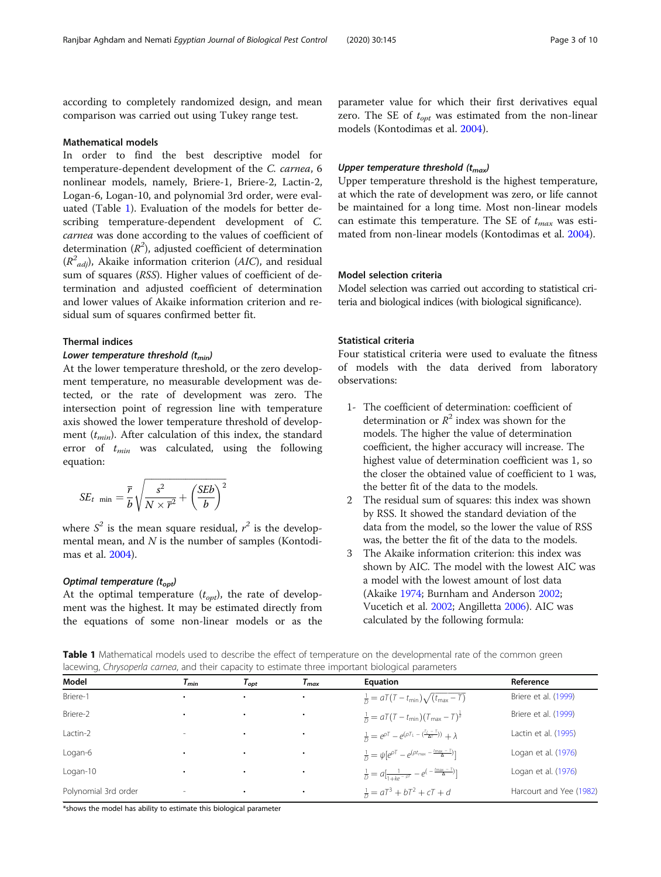according to completely randomized design, and mean comparison was carried out using Tukey range test.

#### Mathematical models

In order to find the best descriptive model for temperature-dependent development of the C. carnea, 6 nonlinear models, namely, Briere-1, Briere-2, Lactin-2, Logan-6, Logan-10, and polynomial 3rd order, were evaluated (Table 1). Evaluation of the models for better describing temperature-dependent development of C. carnea was done according to the values of coefficient of determination  $(R^2)$ , adjusted coefficient of determination  $(R^2_{adj})$ , Akaike information criterion (AIC), and residual sum of squares (RSS). Higher values of coefficient of determination and adjusted coefficient of determination and lower values of Akaike information criterion and residual sum of squares confirmed better fit.

#### Thermal indices

#### Lower temperature threshold  $(t_{min})$

At the lower temperature threshold, or the zero development temperature, no measurable development was detected, or the rate of development was zero. The intersection point of regression line with temperature axis showed the lower temperature threshold of development  $(t_{min})$ . After calculation of this index, the standard error of  $t_{min}$  was calculated, using the following equation:

$$
SE_{t \min} = \frac{\overline{r}}{b} \sqrt{\frac{s^2}{N \times \overline{r}^2} + \left(\frac{SEb}{b}\right)^2}
$$

where  $S^2$  is the mean square residual,  $r^2$  is the developmental mean, and  $N$  is the number of samples (Kontodimas et al. [2004](#page-8-0)).

# Optimal temperature  $(t_{opt})$

At the optimal temperature  $(t_{opt})$ , the rate of development was the highest. It may be estimated directly from the equations of some non-linear models or as the

parameter value for which their first derivatives equal zero. The SE of  $t_{\text{ont}}$  was estimated from the non-linear models (Kontodimas et al. [2004\)](#page-8-0).

# Upper temperature threshold  $(t_{max})$

Upper temperature threshold is the highest temperature, at which the rate of development was zero, or life cannot be maintained for a long time. Most non-linear models can estimate this temperature. The SE of  $t_{max}$  was estimated from non-linear models (Kontodimas et al. [2004](#page-8-0)).

# Model selection criteria

Model selection was carried out according to statistical criteria and biological indices (with biological significance).

# Statistical criteria

Four statistical criteria were used to evaluate the fitness of models with the data derived from laboratory observations:

- 1- The coefficient of determination: coefficient of determination or  $R^2$  index was shown for the models. The higher the value of determination coefficient, the higher accuracy will increase. The highest value of determination coefficient was 1, so the closer the obtained value of coefficient to 1 was, the better fit of the data to the models.
- 2 The residual sum of squares: this index was shown by RSS. It showed the standard deviation of the data from the model, so the lower the value of RSS was, the better the fit of the data to the models.
- 3 The Akaike information criterion: this index was shown by AIC. The model with the lowest AIC was a model with the lowest amount of lost data (Akaike [1974;](#page-8-0) Burnham and Anderson [2002;](#page-8-0) Vucetich et al. [2002;](#page-9-0) Angilletta [2006](#page-8-0)). AIC was calculated by the following formula:

Table 1 Mathematical models used to describe the effect of temperature on the developmental rate of the common green lacewing, Chrysoperla carnea, and their capacity to estimate three important biological parameters

| Model<br>Reference<br><b>Equation</b><br>$\tau_{\scriptscriptstyle max}$<br>$\tau_{\scriptsize{\textit{opt}}}$<br>l <sub>min</sub><br>Briere-1<br>Briere et al. (1999)<br>$\frac{1}{D} = aT(T - t_{\min})\sqrt{(t_{\max} - T)}$<br>٠<br>Briere et al. (1999)<br>Briere-2<br>$\frac{1}{D} = aT(T - t_{\min})(T_{\max} - T)^{\frac{1}{d}}$<br>$\frac{1}{D} = e^{\rho T} - e^{(\rho T_L - (\frac{T_L - T}{\Delta T}))} + \lambda$<br>Lactin et al. (1995)<br>Lactin-2<br>$\sim$<br>$\frac{1}{D} = \psi[e^{\rho T} - e^{(\rho t_{\text{max}} - \frac{t_{\text{max}} - T}{\Delta})}]$<br>Logan et al. (1976)<br>Logan-6<br>٠<br>Logan et al. (1976)<br>Logan-10<br>$\frac{1}{D} = a \left[ \frac{1}{1 + k e^{-\rho T}} - e^{-\frac{t_{\text{max}} - T}{\Delta}} \right]$<br>$\frac{1}{D} = aT^3 + bT^2 + cT + d$<br>Polynomial 3rd order<br>$\overline{\phantom{a}}$<br>$\bullet$ |  |  |                         |
|------------------------------------------------------------------------------------------------------------------------------------------------------------------------------------------------------------------------------------------------------------------------------------------------------------------------------------------------------------------------------------------------------------------------------------------------------------------------------------------------------------------------------------------------------------------------------------------------------------------------------------------------------------------------------------------------------------------------------------------------------------------------------------------------------------------------------------------------------------------------------|--|--|-------------------------|
|                                                                                                                                                                                                                                                                                                                                                                                                                                                                                                                                                                                                                                                                                                                                                                                                                                                                              |  |  |                         |
|                                                                                                                                                                                                                                                                                                                                                                                                                                                                                                                                                                                                                                                                                                                                                                                                                                                                              |  |  |                         |
|                                                                                                                                                                                                                                                                                                                                                                                                                                                                                                                                                                                                                                                                                                                                                                                                                                                                              |  |  |                         |
|                                                                                                                                                                                                                                                                                                                                                                                                                                                                                                                                                                                                                                                                                                                                                                                                                                                                              |  |  |                         |
|                                                                                                                                                                                                                                                                                                                                                                                                                                                                                                                                                                                                                                                                                                                                                                                                                                                                              |  |  |                         |
|                                                                                                                                                                                                                                                                                                                                                                                                                                                                                                                                                                                                                                                                                                                                                                                                                                                                              |  |  |                         |
|                                                                                                                                                                                                                                                                                                                                                                                                                                                                                                                                                                                                                                                                                                                                                                                                                                                                              |  |  | Harcourt and Yee (1982) |

\*shows the model has ability to estimate this biological parameter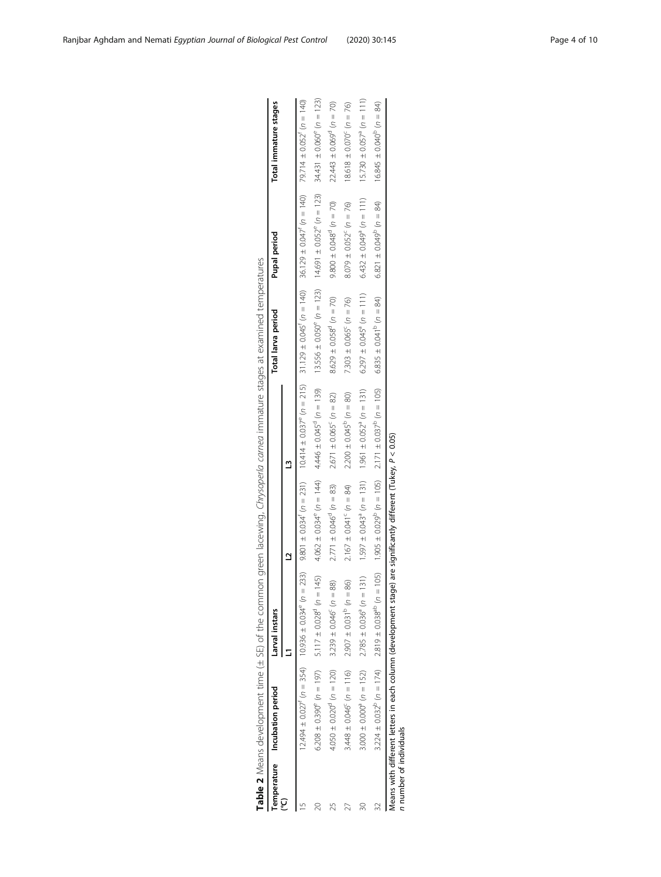<span id="page-3-0"></span>

|                         | Temperature Incubation period                                   | Larval instars                                                                                                                                                                                                                                        |                                                 |                                                                                 | Total larva period                       | <b>Pupal period</b>                  | Total immature stages                    |
|-------------------------|-----------------------------------------------------------------|-------------------------------------------------------------------------------------------------------------------------------------------------------------------------------------------------------------------------------------------------------|-------------------------------------------------|---------------------------------------------------------------------------------|------------------------------------------|--------------------------------------|------------------------------------------|
|                         |                                                                 |                                                                                                                                                                                                                                                       |                                                 |                                                                                 |                                          |                                      |                                          |
|                         |                                                                 | $(140 - 1235) = 1245$ $(122 - 1235) = 1265$ $(122 - 1245) = 1215$ $(122 - 125) = 1215$ $(122 - 125) = 1215$ $(122 - 125) = 1215$ $(122 - 125) = 1215$ $(122 - 125) = 1215$ $(122 - 125) = 1215$ $(122 - 125) = 1215$ $(122 - 125) = 1215$ $(122 - 12$ |                                                 |                                                                                 |                                          |                                      |                                          |
|                         |                                                                 | $6.208 \pm 0.390^{\circ}$ ( $n = 197$ ) $5.117 \pm 0.028^{\circ}$ ( $n = 145$ )                                                                                                                                                                       |                                                 | $4.062 \pm 0.034^{\circ}$ (n = 144) $4.446 \pm 0.045^{\circ}$ (n = 139)         | $13.556 \pm 0.050^{\circ}$ ( $n = 123$ ) | $14.691 \pm 0.052^{\circ}$ (n = 123) | $34.431 \pm 0.060^{\circ}$ ( $n = 123$ ) |
| 25                      | $4.050 \pm 0.020^{\circ}$ (n = 120)                             | $3.239 \pm 0.046^{\circ}$ (n = 88)                                                                                                                                                                                                                    | $2.771 \pm 0.046^{\circ}$ (n = 83)              | $2.671 \pm 0.065^{\circ}$ (n = 82)                                              | $8.629 \pm 0.058^{\circ}$ (n = 70)       | $9.800 \pm 0.048^{\circ}$ (n = 70)   | $22.443 \pm 0.069^{\circ}$ (n = 70)      |
|                         | $3.448 \pm 0.046^{\circ}$ (n = 116)                             | $2.907 \pm 0.031^{\circ}$ (h = 86)                                                                                                                                                                                                                    | $2.167 \pm 0.041^{\circ}$ (n = 84)              | $2.200 \pm 0.045^{\circ}$ ( $n = 80$ )                                          | 7.303 ± 0.065° ( $n = 76$ )              | $8.079 \pm 0.052^{\circ}$ (n = 76)   | $18.618 \pm 0.070^c$ (n = 76)            |
| 30                      | $3.000 \pm 0.000^{\circ}$ ( $n = 152$ )                         | $2.785 \pm 0.036^{\circ}$ (n = 131)                                                                                                                                                                                                                   |                                                 | $1.597 \pm 0.043^{\circ}$ ( $n = 131$ ) $1.961 \pm 0.052^{\circ}$ ( $n = 131$ ) | $6.297 \pm 0.045^{\circ}$ (n = 111)      | $6.432 \pm 0.049^{\circ}$ (n = 111)  | $15.730 \pm 0.057^{\circ}$ ( $n = 111$ ) |
|                         |                                                                 | $3.224 \pm 0.032^b$ ( $n = 174$ ) $2.819 \pm 0.038^{ab}$ ( $n = 105$ ) $1.3095 \pm 0.029^b$ ( $n = 105$ ) $2.171 \pm 0.037^b$ ( $n = 105$ )                                                                                                           |                                                 |                                                                                 | $6.835 \pm 0.041^{\circ}$ (n = 84)       | $6.821 \pm 0.049^{\circ}$ (n = 84)   | $16.845 \pm 0.040^{\circ}$ (n = 84)      |
| n number of individuals | Means with different letters in each column (development stage) |                                                                                                                                                                                                                                                       | are significantly different $(Tukey, P < 0.05)$ |                                                                                 |                                          |                                      |                                          |

mined temperatures Table 2 Means development time (± SE) of the common green lacewing, Chrysoperla carnea immature stages at examined temperatures ÷  $\frac{1}{\epsilon}$ Ş f, £.  $\overline{\phantom{a}}$ Chniconarla  $\frac{1}{2}$  $\frac{1}{2}$  $\frac{6}{5}$ ř  $\frac{9}{6}$ Table 2 Means development time (± SE) of the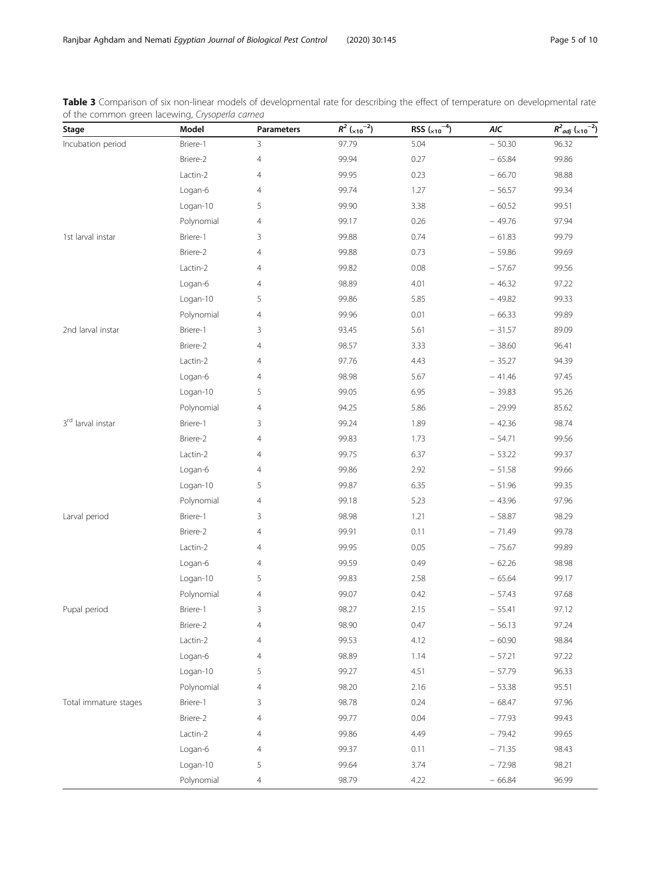<span id="page-4-0"></span>

| Table 3 Comparison of six non-linear models of developmental rate for describing the effect of temperature on developmental rate |  |  |  |  |
|----------------------------------------------------------------------------------------------------------------------------------|--|--|--|--|
| of the common green lacewing, Crysoperla carnea                                                                                  |  |  |  |  |

| Stage                 | Model      | Parameters     | $R^2$ ( <sub>×10</sub> <sup>-2</sup> ) | RSS $\binom{-4}{x10}$ | AIC      | $R^2_{adj}$ ( <sub>×10</sub> <sup>-2</sup> ) |
|-----------------------|------------|----------------|----------------------------------------|-----------------------|----------|----------------------------------------------|
| Incubation period     | Briere-1   | 3              | 97.79                                  | 5.04                  | $-50.30$ | 96.32                                        |
|                       | Briere-2   | $\overline{4}$ | 99.94                                  | 0.27                  | $-65.84$ | 99.86                                        |
|                       | Lactin-2   | $\overline{4}$ | 99.95                                  | 0.23                  | $-66.70$ | 98.88                                        |
|                       | Logan-6    | $\overline{4}$ | 99.74                                  | 1.27                  | $-56.57$ | 99.34                                        |
|                       | Logan-10   | 5              | 99.90                                  | 3.38                  | $-60.52$ | 99.51                                        |
|                       | Polynomial | 4              | 99.17                                  | 0.26                  | $-49.76$ | 97.94                                        |
| 1st larval instar     | Briere-1   | 3              | 99.88                                  | 0.74                  | $-61.83$ | 99.79                                        |
|                       | Briere-2   | 4              | 99.88                                  | 0.73                  | $-59.86$ | 99.69                                        |
|                       | Lactin-2   | 4              | 99.82                                  | 0.08                  | $-57.67$ | 99.56                                        |
|                       | Logan-6    | $\overline{4}$ | 98.89                                  | 4.01                  | $-46.32$ | 97.22                                        |
|                       | Logan-10   | 5              | 99.86                                  | 5.85                  | $-49.82$ | 99.33                                        |
|                       | Polynomial | 4              | 99.96                                  | 0.01                  | $-66.33$ | 99.89                                        |
| 2nd larval instar     | Briere-1   | 3              | 93.45                                  | 5.61                  | $-31.57$ | 89.09                                        |
|                       | Briere-2   | $\overline{4}$ | 98.57                                  | 3.33                  | $-38.60$ | 96.41                                        |
|                       | Lactin-2   | $\overline{4}$ | 97.76                                  | 4.43                  | $-35.27$ | 94.39                                        |
|                       | Logan-6    | $\overline{4}$ | 98.98                                  | 5.67                  | $-41.46$ | 97.45                                        |
|                       | Logan-10   | 5              | 99.05                                  | 6.95                  | $-39.83$ | 95.26                                        |
|                       | Polynomial | 4              | 94.25                                  | 5.86                  | $-29.99$ | 85.62                                        |
| 3rd larval instar     | Briere-1   | 3              | 99.24                                  | 1.89                  | $-42.36$ | 98.74                                        |
|                       | Briere-2   | $\overline{4}$ | 99.83                                  | 1.73                  | $-54.71$ | 99.56                                        |
|                       | Lactin-2   | 4              | 99.75                                  | 6.37                  | $-53.22$ | 99.37                                        |
|                       | Logan-6    | $\overline{4}$ | 99.86                                  | 2.92                  | $-51.58$ | 99.66                                        |
|                       | Logan-10   | 5              | 99.87                                  | 6.35                  | $-51.96$ | 99.35                                        |
|                       | Polynomial | 4              | 99.18                                  | 5.23                  | $-43.96$ | 97.96                                        |
| Larval period         | Briere-1   | 3              | 98.98                                  | 1.21                  | $-58.87$ | 98.29                                        |
|                       | Briere-2   | $\overline{4}$ | 99.91                                  | 0.11                  | $-71.49$ | 99.78                                        |
|                       | Lactin-2   | $\overline{4}$ | 99.95                                  | 0.05                  | $-75.67$ | 99.89                                        |
|                       | Logan-6    | $\overline{4}$ | 99.59                                  | 0.49                  | $-62.26$ | 98.98                                        |
|                       | Logan-10   | 5              | 99.83                                  | 2.58                  | $-65.64$ | 99.17                                        |
|                       | Polynomial | 4              | 99.07                                  | 0.42                  | $-57.43$ | 97.68                                        |
| Pupal period          | Briere-1   | 3              | 98.27                                  | 2.15                  | $-55.41$ | 97.12                                        |
|                       | Briere-2   | 4              | 98.90                                  | 0.47                  | $-56.13$ | 97.24                                        |
|                       | Lactin-2   | 4              | 99.53                                  | 4.12                  | $-60.90$ | 98.84                                        |
|                       | Logan-6    | 4              | 98.89                                  | 1.14                  | $-57.21$ | 97.22                                        |
|                       | Logan-10   | 5              | 99.27                                  | 4.51                  | $-57.79$ | 96.33                                        |
|                       | Polynomial | 4              | 98.20                                  | 2.16                  | $-53.38$ | 95.51                                        |
| Total immature stages | Briere-1   | 3              | 98.78                                  | 0.24                  | $-68.47$ | 97.96                                        |
|                       | Briere-2   | 4              | 99.77                                  | 0.04                  | $-77.93$ | 99.43                                        |
|                       | Lactin-2   | 4              | 99.86                                  | 4.49                  | $-79.42$ | 99.65                                        |
|                       | Logan-6    | 4              | 99.37                                  | 0.11                  | $-71.35$ | 98.43                                        |
|                       | Logan-10   | 5              | 99.64                                  | 3.74                  | $-72.98$ | 98.21                                        |
|                       | Polynomial | $\overline{4}$ | 98.79                                  | 4.22                  | $-66.84$ | 96.99                                        |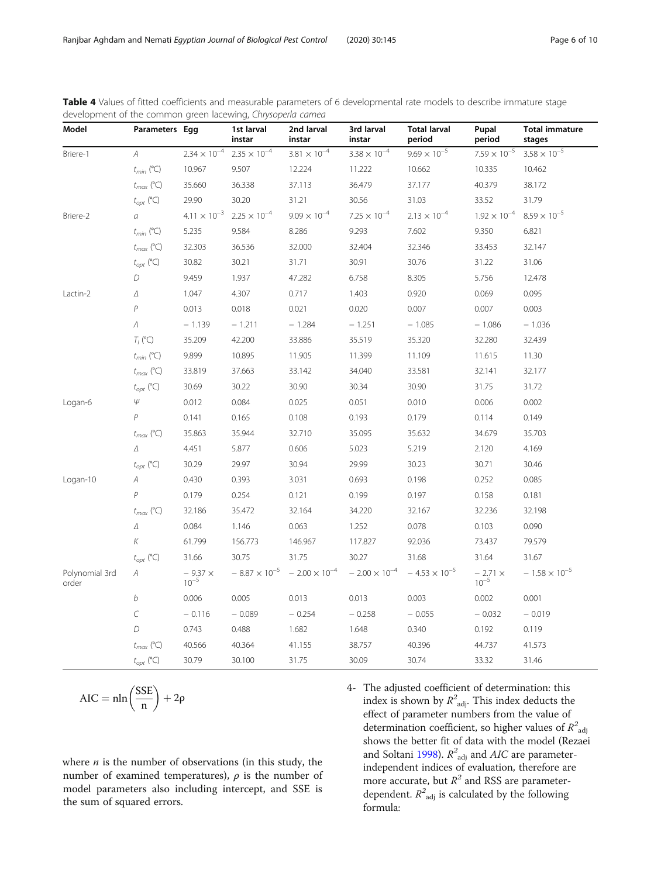| Model                   | Parameters Egg |                        | 1st larval<br>instar   | 2nd larval<br>instar   | 3rd larval<br>instar   | <b>Total larval</b><br>period | Pupal<br>period             | <b>Total immature</b><br>stages |
|-------------------------|----------------|------------------------|------------------------|------------------------|------------------------|-------------------------------|-----------------------------|---------------------------------|
| Briere-1                | A              | $2.34 \times 10^{-4}$  | $2.35\times10^{-4}$    | $3.81 \times 10^{-4}$  | $3.38 \times 10^{-4}$  | $9.69 \times 10^{-5}$         | $7.59 \times 10^{-5}$       | $3.58 \times 10^{-5}$           |
|                         | $t_{min}$ (°C) | 10.967                 | 9.507                  | 12.224                 | 11.222                 | 10.662                        | 10.335                      | 10.462                          |
|                         | $t_{max}$ (°C) | 35.660                 | 36.338                 | 37.113                 | 36.479                 | 37.177                        | 40.379                      | 38.172                          |
|                         | $t_{opt}$ (°C) | 29.90                  | 30.20                  | 31.21                  | 30.56                  | 31.03                         | 33.52                       | 31.79                           |
| Briere-2                | a              | $4.11 \times 10^{-3}$  | $2.25 \times 10^{-4}$  | $9.09 \times 10^{-4}$  | $7.25 \times 10^{-4}$  | $2.13 \times 10^{-4}$         | $1.92 \times 10^{-4}$       | $8.59 \times 10^{-5}$           |
|                         | $t_{min}$ (°C) | 5.235                  | 9.584                  | 8.286                  | 9.293                  | 7.602                         | 9.350                       | 6.821                           |
|                         | $t_{max}$ (°C) | 32.303                 | 36.536                 | 32.000                 | 32.404                 | 32.346                        | 33.453                      | 32.147                          |
|                         | $t_{opt}$ (°C) | 30.82                  | 30.21                  | 31.71                  | 30.91                  | 30.76                         | 31.22                       | 31.06                           |
|                         | D              | 9.459                  | 1.937                  | 47.282                 | 6.758                  | 8.305                         | 5.756                       | 12.478                          |
| Lactin-2                | Δ              | 1.047                  | 4.307                  | 0.717                  | 1.403                  | 0.920                         | 0.069                       | 0.095                           |
|                         | $\overline{P}$ | 0.013                  | 0.018                  | 0.021                  | 0.020                  | 0.007                         | 0.007                       | 0.003                           |
|                         | Λ              | $-1.139$               | $-1.211$               | $-1.284$               | $-1.251$               | $-1.085$                      | $-1.086$                    | $-1.036$                        |
|                         | $T_I$ (°C)     | 35.209                 | 42.200                 | 33.886                 | 35.519                 | 35.320                        | 32.280                      | 32.439                          |
|                         | $t_{min}$ (°C) | 9.899                  | 10.895                 | 11.905                 | 11.399                 | 11.109                        | 11.615                      | 11.30                           |
|                         | $t_{max}$ (°C) | 33.819                 | 37.663                 | 33.142                 | 34.040                 | 33.581                        | 32.141                      | 32.177                          |
|                         | $t_{opt}$ (°C) | 30.69                  | 30.22                  | 30.90                  | 30.34                  | 30.90                         | 31.75                       | 31.72                           |
| Logan-6                 | $\psi$         | 0.012                  | 0.084                  | 0.025                  | 0.051                  | 0.010                         | 0.006                       | 0.002                           |
|                         | $\overline{P}$ | 0.141                  | 0.165                  | 0.108                  | 0.193                  | 0.179                         | 0.114                       | 0.149                           |
|                         | $t_{max}$ (°C) | 35.863                 | 35.944                 | 32.710                 | 35.095                 | 35.632                        | 34.679                      | 35.703                          |
|                         | Δ              | 4.451                  | 5.877                  | 0.606                  | 5.023                  | 5.219                         | 2.120                       | 4.169                           |
|                         | $t_{opt}$ (°C) | 30.29                  | 29.97                  | 30.94                  | 29.99                  | 30.23                         | 30.71                       | 30.46                           |
| Logan-10                | A              | 0.430                  | 0.393                  | 3.031                  | 0.693                  | 0.198                         | 0.252                       | 0.085                           |
|                         | $\overline{P}$ | 0.179                  | 0.254                  | 0.121                  | 0.199                  | 0.197                         | 0.158                       | 0.181                           |
|                         | $t_{max}$ (°C) | 32.186                 | 35.472                 | 32.164                 | 34.220                 | 32.167                        | 32.236                      | 32.198                          |
|                         | $\varDelta$    | 0.084                  | 1.146                  | 0.063                  | 1.252                  | 0.078                         | 0.103                       | 0.090                           |
|                         | К              | 61.799                 | 156.773                | 146.967                | 117.827                | 92.036                        | 73.437                      | 79.579                          |
|                         | $t_{opt}$ (°C) | 31.66                  | 30.75                  | 31.75                  | 30.27                  | 31.68                         | 31.64                       | 31.67                           |
| Polynomial 3rd<br>order | Α              | $-9.37 \times 10^{-5}$ | $-8.87 \times 10^{-5}$ | $-2.00 \times 10^{-4}$ | $-2.00 \times 10^{-4}$ | $-4.53 \times 10^{-5}$        | $-2.71 \times$<br>$10^{-5}$ | $-1.58 \times 10^{-5}$          |
|                         | b              | 0.006                  | 0.005                  | 0.013                  | 0.013                  | 0.003                         | 0.002                       | 0.001                           |
|                         | $\cal C$       | $-0.116$               | $-0.089$               | $-0.254$               | $-0.258$               | $-0.055$                      | $-0.032$                    | $-0.019$                        |
|                         | D              | 0.743                  | 0.488                  | 1.682                  | 1.648                  | 0.340                         | 0.192                       | 0.119                           |
|                         | $t_{max}$ (°C) | 40.566                 | 40.364                 | 41.155                 | 38.757                 | 40.396                        | 44.737                      | 41.573                          |
|                         | $t_{opt}$ (°C) | 30.79                  | 30.100                 | 31.75                  | 30.09                  | 30.74                         | 33.32                       | 31.46                           |

<span id="page-5-0"></span>

|  |                                                              |  |  | Table 4 Values of fitted coefficients and measurable parameters of 6 developmental rate models to describe immature stage |  |  |  |
|--|--------------------------------------------------------------|--|--|---------------------------------------------------------------------------------------------------------------------------|--|--|--|
|  | development of the common green lacewing, Chrysoperla carnea |  |  |                                                                                                                           |  |  |  |

$$
AIC = nln\left(\frac{SSE}{n}\right) + 2\rho
$$

where  $n$  is the number of observations (in this study, the number of examined temperatures),  $\rho$  is the number of model parameters also including intercept, and SSE is the sum of squared errors.

4- The adjusted coefficient of determination: this index is shown by  $R^2$ <sub>adj</sub>. This index deducts the effect of parameter numbers from the value of determination coefficient, so higher values of  $R^2$ <sub>adj</sub> shows the better fit of data with the model (Rezaei and Soltani [1998\)](#page-9-0).  $R^2$ <sub>adj</sub> and AIC are parameterindependent indices of evaluation, therefore are more accurate, but  $R^2$  and RSS are parameterdependent.  $R^2$ <sub>adj</sub> is calculated by the following formula: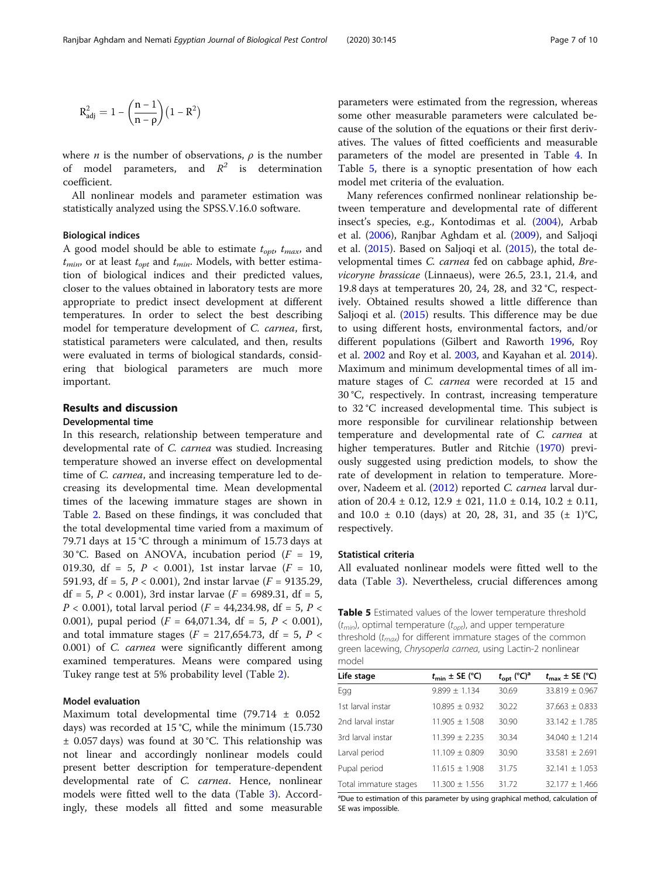<span id="page-6-0"></span>
$$
R_{adj}^2=1-\left(\frac{n-1}{n-\rho}\right)\left(1-R^2\right)
$$

where *n* is the number of observations,  $\rho$  is the number of model parameters, and  $R^2$  is determination coefficient.

All nonlinear models and parameter estimation was statistically analyzed using the SPSS.V.16.0 software.

# Biological indices

A good model should be able to estimate  $t_{opt}$ ,  $t_{max}$ , and  $t_{min}$ , or at least  $t_{opt}$  and  $t_{min}$ . Models, with better estimation of biological indices and their predicted values, closer to the values obtained in laboratory tests are more appropriate to predict insect development at different temperatures. In order to select the best describing model for temperature development of C. carnea, first, statistical parameters were calculated, and then, results were evaluated in terms of biological standards, considering that biological parameters are much more important.

# Results and discussion

#### Developmental time

In this research, relationship between temperature and developmental rate of C. carnea was studied. Increasing temperature showed an inverse effect on developmental time of C. carnea, and increasing temperature led to decreasing its developmental time. Mean developmental times of the lacewing immature stages are shown in Table [2](#page-3-0). Based on these findings, it was concluded that the total developmental time varied from a maximum of 79.71 days at 15 °C through a minimum of 15.73 days at 30 °C. Based on ANOVA, incubation period ( $F = 19$ , 019.30, df = 5,  $P < 0.001$ ), 1st instar larvae ( $F = 10$ , 591.93, df = 5,  $P < 0.001$ ), 2nd instar larvae ( $F = 9135.29$ , df = 5,  $P$  < 0.001), 3rd instar larvae ( $F$  = 6989.31, df = 5,  $P < 0.001$ ), total larval period ( $F = 44,234.98$ , df = 5,  $P <$ 0.001), pupal period  $(F = 64,071.34, df = 5, P < 0.001)$ , and total immature stages ( $F = 217,654.73$ , df = 5,  $P <$ 0.001) of C. carnea were significantly different among examined temperatures. Means were compared using Tukey range test at 5% probability level (Table [2\)](#page-3-0).

# Model evaluation

Maximum total developmental time (79.714 ± 0.052 days) was recorded at 15 °C, while the minimum (15.730 ± 0.057 days) was found at 30 °C. This relationship was not linear and accordingly nonlinear models could present better description for temperature-dependent developmental rate of C. carnea. Hence, nonlinear models were fitted well to the data (Table [3\)](#page-4-0). Accordingly, these models all fitted and some measurable

parameters were estimated from the regression, whereas some other measurable parameters were calculated because of the solution of the equations or their first derivatives. The values of fitted coefficients and measurable parameters of the model are presented in Table [4.](#page-5-0) In Table 5, there is a synoptic presentation of how each model met criteria of the evaluation.

Many references confirmed nonlinear relationship between temperature and developmental rate of different insect's species, e.g., Kontodimas et al. ([2004](#page-8-0)), Arbab et al. ([2006](#page-8-0)), Ranjbar Aghdam et al. [\(2009\)](#page-8-0), and Saljoqi et al. ([2015](#page-9-0)). Based on Saljoqi et al. ([2015](#page-9-0)), the total developmental times C. carnea fed on cabbage aphid, Brevicoryne brassicae (Linnaeus), were 26.5, 23.1, 21.4, and 19.8 days at temperatures 20, 24, 28, and 32 °C, respectively. Obtained results showed a little difference than Saljoqi et al. ([2015](#page-9-0)) results. This difference may be due to using different hosts, environmental factors, and/or different populations (Gilbert and Raworth [1996](#page-8-0), Roy et al. [2002](#page-9-0) and Roy et al. [2003,](#page-9-0) and Kayahan et al. [2014](#page-8-0)). Maximum and minimum developmental times of all immature stages of C. carnea were recorded at 15 and 30 °C, respectively. In contrast, increasing temperature to 32 °C increased developmental time. This subject is more responsible for curvilinear relationship between temperature and developmental rate of C. carnea at higher temperatures. Butler and Ritchie [\(1970\)](#page-8-0) previously suggested using prediction models, to show the rate of development in relation to temperature. More-over, Nadeem et al. [\(2012\)](#page-8-0) reported C. carnea larval duration of 20.4  $\pm$  0.12, 12.9  $\pm$  021, 11.0  $\pm$  0.14, 10.2  $\pm$  0.11, and  $10.0 \pm 0.10$  (days) at 20, 28, 31, and 35 ( $\pm$  1)°C, respectively.

## Statistical criteria

All evaluated nonlinear models were fitted well to the data (Table [3](#page-4-0)). Nevertheless, crucial differences among

**Table 5** Estimated values of the lower temperature threshold  $(t_{min})$ , optimal temperature  $(t_{opt})$ , and upper temperature threshold  $(t_{max})$  for different immature stages of the common green lacewing, Chrysoperla carnea, using Lactin-2 nonlinear model

| Life stage            | $t_{\text{min}} \pm \text{SE}$ (°C) | $t_{\rm opt}$ (°C) <sup>a</sup> | $t_{\text{max}} \pm \text{SE}$ (°C) |
|-----------------------|-------------------------------------|---------------------------------|-------------------------------------|
| Egg                   | $9.899 \pm 1.134$                   | 30.69                           | $33.819 \pm 0.967$                  |
| 1st larval instar     | $10.895 \pm 0.932$                  | 30.22                           | $37.663 \pm 0.833$                  |
| 2nd larval instar     | $11.905 + 1.508$                    | 30.90                           | $33.142 \pm 1.785$                  |
| 3rd larval instar     | $11.399 + 2.235$                    | 30.34                           | $34.040 + 1.214$                    |
| Larval period         | $11.109 + 0.809$                    | 30.90                           | $33.581 \pm 2.691$                  |
| Pupal period          | $11.615 \pm 1.908$                  | 31.75                           | $32.141 \pm 1.053$                  |
| Total immature stages | $11.300 + 1.556$                    | 31.72                           | $32.177 + 1.466$                    |
|                       |                                     |                                 |                                     |

<sup>a</sup>Due to estimation of this parameter by using graphical method, calculation of SE was impossible.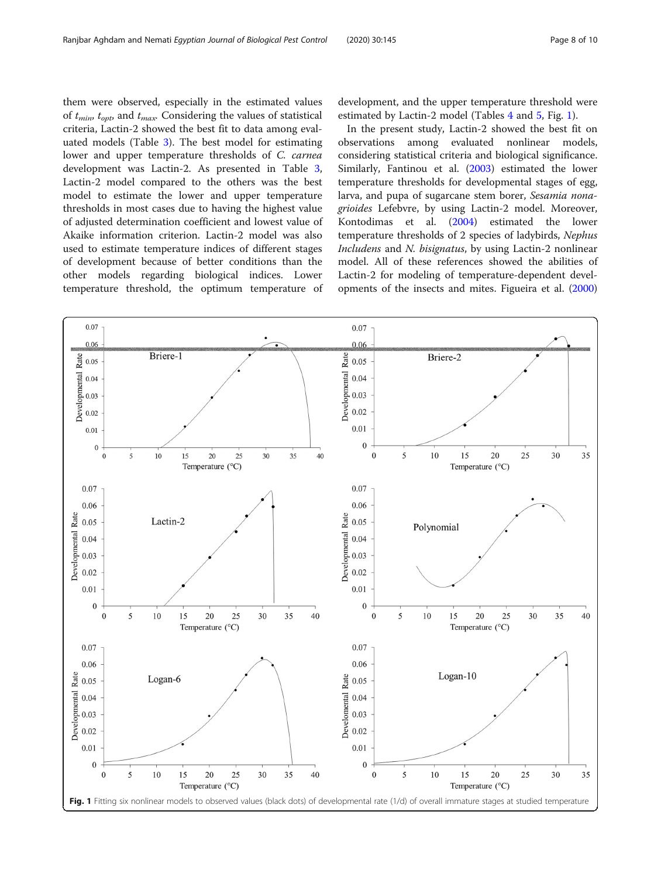them were observed, especially in the estimated values of  $t_{min}$ ,  $t_{\text{out}}$  and  $t_{\text{max}}$ . Considering the values of statistical criteria, Lactin-2 showed the best fit to data among evaluated models (Table [3](#page-4-0)). The best model for estimating lower and upper temperature thresholds of C. carnea development was Lactin-2. As presented in Table [3](#page-4-0), Lactin-2 model compared to the others was the best model to estimate the lower and upper temperature thresholds in most cases due to having the highest value of adjusted determination coefficient and lowest value of Akaike information criterion. Lactin-2 model was also used to estimate temperature indices of different stages of development because of better conditions than the other models regarding biological indices. Lower temperature threshold, the optimum temperature of

development, and the upper temperature threshold were estimated by Lactin-2 model (Tables [4](#page-5-0) and [5](#page-6-0), Fig. 1).

In the present study, Lactin-2 showed the best fit on observations among evaluated nonlinear models, considering statistical criteria and biological significance. Similarly, Fantinou et al. [\(2003\)](#page-8-0) estimated the lower temperature thresholds for developmental stages of egg, larva, and pupa of sugarcane stem borer, Sesamia nonagrioides Lefebvre, by using Lactin-2 model. Moreover, Kontodimas et al. ([2004](#page-8-0)) estimated the lower temperature thresholds of 2 species of ladybirds, Nephus Includens and N. bisignatus, by using Lactin-2 nonlinear model. All of these references showed the abilities of Lactin-2 for modeling of temperature-dependent developments of the insects and mites. Figueira et al. ([2000](#page-8-0))

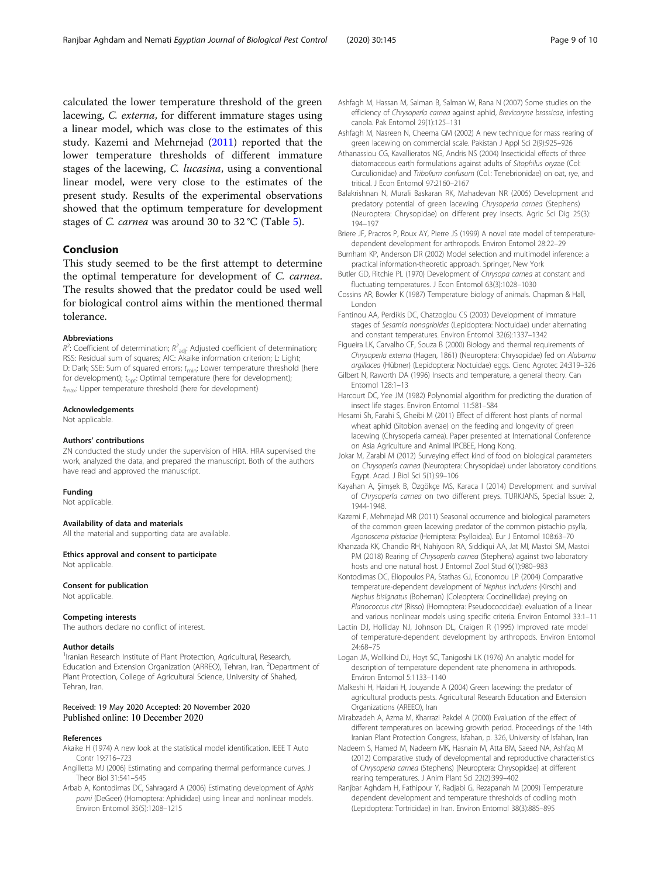<span id="page-8-0"></span>calculated the lower temperature threshold of the green lacewing, C. externa, for different immature stages using a linear model, which was close to the estimates of this study. Kazemi and Mehrnejad (2011) reported that the lower temperature thresholds of different immature stages of the lacewing, C. lucasina, using a conventional linear model, were very close to the estimates of the present study. Results of the experimental observations showed that the optimum temperature for development stages of C. carnea was around 30 to 32 °C (Table [5](#page-6-0)).

# Conclusion

This study seemed to be the first attempt to determine the optimal temperature for development of C. carnea. The results showed that the predator could be used well for biological control aims within the mentioned thermal tolerance.

#### Abbreviations

 $R^2$ : Coefficient of determination;  $R^2$ <sub>adj</sub>: Adjusted coefficient of determination; RSS: Residual sum of squares; AIC: Akaike information criterion; L: Light; D: Dark: SSE: Sum of squared errors: t<sub>min</sub>: Lower temperature threshold (here for development);  $t_{opt}$ : Optimal temperature (here for development);  $t_{\text{max}}$ : Upper temperature threshold (here for development)

#### Acknowledgements

Not applicable.

#### Authors' contributions

ZN conducted the study under the supervision of HRA. HRA supervised the work, analyzed the data, and prepared the manuscript. Both of the authors have read and approved the manuscript.

#### Funding

Not applicable.

### Availability of data and materials

All the material and supporting data are available.

Ethics approval and consent to participate

Not applicable.

# Consent for publication

Not applicable.

#### Competing interests

The authors declare no conflict of interest.

#### Author details

<sup>1</sup> Iranian Research Institute of Plant Protection, Agricultural, Research, Education and Extension Organization (ARREO), Tehran, Iran. <sup>2</sup>Department of Plant Protection, College of Agricultural Science, University of Shahed, Tehran, Iran.

### Received: 19 May 2020 Accepted: 20 November 2020 Published online: 10 December 2020

#### References

- Akaike H (1974) A new look at the statistical model identification. IEEE T Auto Contr 19:716–723
- Angilletta MJ (2006) Estimating and comparing thermal performance curves. J Theor Biol 31:541–545
- Arbab A, Kontodimas DC, Sahragard A (2006) Estimating development of Aphis pomi (DeGeer) (Homoptera: Aphididae) using linear and nonlinear models. Environ Entomol 35(5):1208–1215
- Ashfagh M, Hassan M, Salman B, Salman W, Rana N (2007) Some studies on the efficiency of Chrysoperla carnea against aphid, Brevicoryne brassicae, infesting canola. Pak Entomol 29(1):125–131
- Ashfagh M, Nasreen N, Cheema GM (2002) A new technique for mass rearing of green lacewing on commercial scale. Pakistan J Appl Sci 2(9):925–926
- Athanassiou CG, Kavallieratos NG, Andris NS (2004) Insecticidal effects of three diatomaceous earth formulations against adults of Sitophilus oryzae (Col: Curculionidae) and Tribolium confusum (Col.: Tenebrionidae) on oat, rye, and tritical. J Econ Entomol 97:2160–2167
- Balakrishnan N, Murali Baskaran RK, Mahadevan NR (2005) Development and predatory potential of green lacewing Chrysoperla carnea (Stephens) (Neuroptera: Chrysopidae) on different prey insects. Agric Sci Dig 25(3): 194–197
- Briere JF, Pracros P, Roux AY, Pierre JS (1999) A novel rate model of temperaturedependent development for arthropods. Environ Entomol 28:22–29
- Burnham KP, Anderson DR (2002) Model selection and multimodel inference: a practical information-theoretic approach. Springer, New York
- Butler GD, Ritchie PL (1970) Development of Chrysopa carnea at constant and fluctuating temperatures. J Econ Entomol 63(3):1028–1030
- Cossins AR, Bowler K (1987) Temperature biology of animals. Chapman & Hall, London
- Fantinou AA, Perdikis DC, Chatzoglou CS (2003) Development of immature stages of Sesamia nonagrioides (Lepidoptera: Noctuidae) under alternating and constant temperatures. Environ Entomol 32(6):1337–1342
- Figueira LK, Carvalho CF, Souza B (2000) Biology and thermal requirements of Chrysoperla externa (Hagen, 1861) (Neuroptera: Chrysopidae) fed on Alabama argillacea (Hübner) (Lepidoptera: Noctuidae) eggs. Cienc Agrotec 24:319–326
- Gilbert N, Raworth DA (1996) Insects and temperature, a general theory. Can Entomol 128:1–13
- Harcourt DC, Yee JM (1982) Polynomial algorithm for predicting the duration of insect life stages. Environ Entomol 11:581–584
- Hesami Sh, Farahi S, Gheibi M (2011) Effect of different host plants of normal wheat aphid (Sitobion avenae) on the feeding and longevity of green lacewing (Chrysoperla carnea). Paper presented at International Conference on Asia Agriculture and Animal IPCBEE, Hong Kong.
- Jokar M, Zarabi M (2012) Surveying effect kind of food on biological parameters on Chrysoperla carnea (Neuroptera: Chrysopidae) under laboratory conditions. Egypt. Acad. J Biol Sci 5(1):99–106
- Kayahan A, Şimşek B, Özgökçe MS, Karaca I (2014) Development and survival of Chrysoperla carnea on two different preys. TURKJANS, Special Issue: 2, 1944-1948.
- Kazemi F, Mehrnejad MR (2011) Seasonal occurrence and biological parameters of the common green lacewing predator of the common pistachio psylla, Agonoscena pistaciae (Hemiptera: Psylloidea). Eur J Entomol 108:63–70
- Khanzada KK, Chandio RH, Nahiyoon RA, Siddiqui AA, Jat MI, Mastoi SM, Mastoi PM (2018) Rearing of Chrysoperla carnea (Stephens) against two laboratory hosts and one natural host. J Entomol Zool Stud 6(1):980–983
- Kontodimas DC, Eliopoulos PA, Stathas GJ, Economou LP (2004) Comparative temperature-dependent development of Nephus includens (Kirsch) and Nephus bisignatus (Boheman) (Coleoptera: Coccinellidae) preying on Planococcus citri (Risso) (Homoptera: Pseudococcidae): evaluation of a linear and various nonlinear models using specific criteria. Environ Entomol 33:1–11
- Lactin DJ, Holliday NJ, Johnson DL, Craigen R (1995) Improved rate model of temperature-dependent development by arthropods. Environ Entomol 24:68–75
- Logan JA, Wollkind DJ, Hoyt SC, Tanigoshi LK (1976) An analytic model for description of temperature dependent rate phenomena in arthropods. Environ Entomol 5:1133–1140
- Malkeshi H, Haidari H, Jouyande A (2004) Green lacewing: the predator of agricultural products pests. Agricultural Research Education and Extension Organizations (AREEO), Iran
- Mirabzadeh A, Azma M, Kharrazi Pakdel A (2000) Evaluation of the effect of different temperatures on lacewing growth period. Proceedings of the 14th Iranian Plant Protection Congress, Isfahan, p. 326, University of Isfahan, Iran
- Nadeem S, Hamed M, Nadeem MK, Hasnain M, Atta BM, Saeed NA, Ashfaq M (2012) Comparative study of developmental and reproductive characteristics of Chrysoperla carnea (Stephens) (Neuroptera: Chrysopidae) at different rearing temperatures. J Anim Plant Sci 22(2):399–402
- Ranjbar Aghdam H, Fathipour Y, Radjabi G, Rezapanah M (2009) Temperature dependent development and temperature thresholds of codling moth (Lepidoptera: Tortricidae) in Iran. Environ Entomol 38(3):885–895